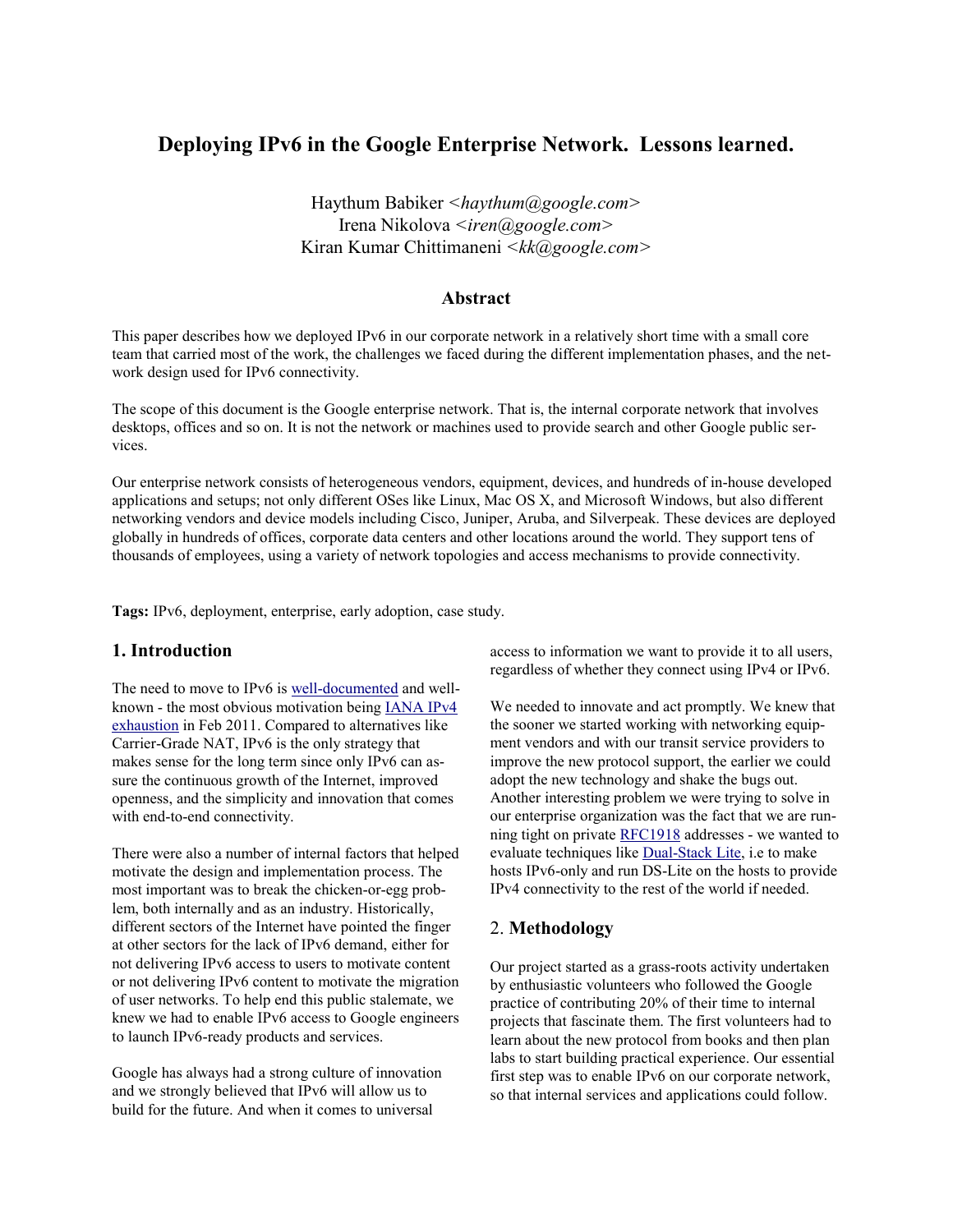# **Deploying IPv6 in the Google Enterprise Network. Lessons learned.**

Haythum Babiker *<haythum@google.com>* Irena Nikolova *<iren@google.com>* Kiran Kumar Chittimaneni *<kk@google.com>*

#### **Abstract**

This paper describes how we deployed IPv6 in our corporate network in a relatively short time with a small core team that carried most of the work, the challenges we faced during the different implementation phases, and the network design used for IPv6 connectivity.

The scope of this document is the Google enterprise network. That is, the internal corporate network that involves desktops, offices and so on. It is not the network or machines used to provide search and other Google public services.

Our enterprise network consists of heterogeneous vendors, equipment, devices, and hundreds of in-house developed applications and setups; not only different OSes like Linux, Mac OS X, and Microsoft Windows, but also different networking vendors and device models including Cisco, Juniper, Aruba, and Silverpeak. These devices are deployed globally in hundreds of offices, corporate data centers and other locations around the world. They support tens of thousands of employees, using a variety of network topologies and access mechanisms to provide connectivity.

**Tags:** IPv6, deployment, enterprise, early adoption, case study.

## **1. Introduction**

The need to move to IPv6 is [well-documented](http://queue.acm.org/detail.cfm?id=1959015) and wellknown - the most obvious motivation bein[g IANA IPv4](http://en.wikipedia.org/wiki/IPv4_address_exhaustion)  [exhaustion](http://en.wikipedia.org/wiki/IPv4_address_exhaustion) in Feb 2011. Compared to alternatives like Carrier-Grade NAT, IPv6 is the only strategy that makes sense for the long term since only IPv6 can assure the continuous growth of the Internet, improved openness, and the simplicity and innovation that comes with end-to-end connectivity.

There were also a number of internal factors that helped motivate the design and implementation process. The most important was to break the chicken-or-egg problem, both internally and as an industry. Historically, different sectors of the Internet have pointed the finger at other sectors for the lack of IPv6 demand, either for not delivering IPv6 access to users to motivate content or not delivering IPv6 content to motivate the migration of user networks. To help end this public stalemate, we knew we had to enable IPv6 access to Google engineers to launch IPv6-ready products and services.

Google has always had a strong culture of innovation and we strongly believed that IPv6 will allow us to build for the future. And when it comes to universal

access to information we want to provide it to all users, regardless of whether they connect using IPv4 or IPv6.

We needed to innovate and act promptly. We knew that the sooner we started working with networking equipment vendors and with our transit service providers to improve the new protocol support, the earlier we could adopt the new technology and shake the bugs out. Another interesting problem we were trying to solve in our enterprise organization was the fact that we are running tight on private [RFC1918](http://tools.ietf.org/html/rfc1918) addresses - we wanted to evaluate techniques like [Dual-Stack Lite,](http://tools.ietf.org/html/draft-ietf-softwire-dual-stack-lite) i.e to make hosts IPv6-only and run DS-Lite on the hosts to provide IPv4 connectivity to the rest of the world if needed.

#### 2. **Methodology**

Our project started as a grass-roots activity undertaken by enthusiastic volunteers who followed the Google practice of contributing 20% of their time to internal projects that fascinate them. The first volunteers had to learn about the new protocol from books and then plan labs to start building practical experience. Our essential first step was to enable IPv6 on our corporate network, so that internal services and applications could follow.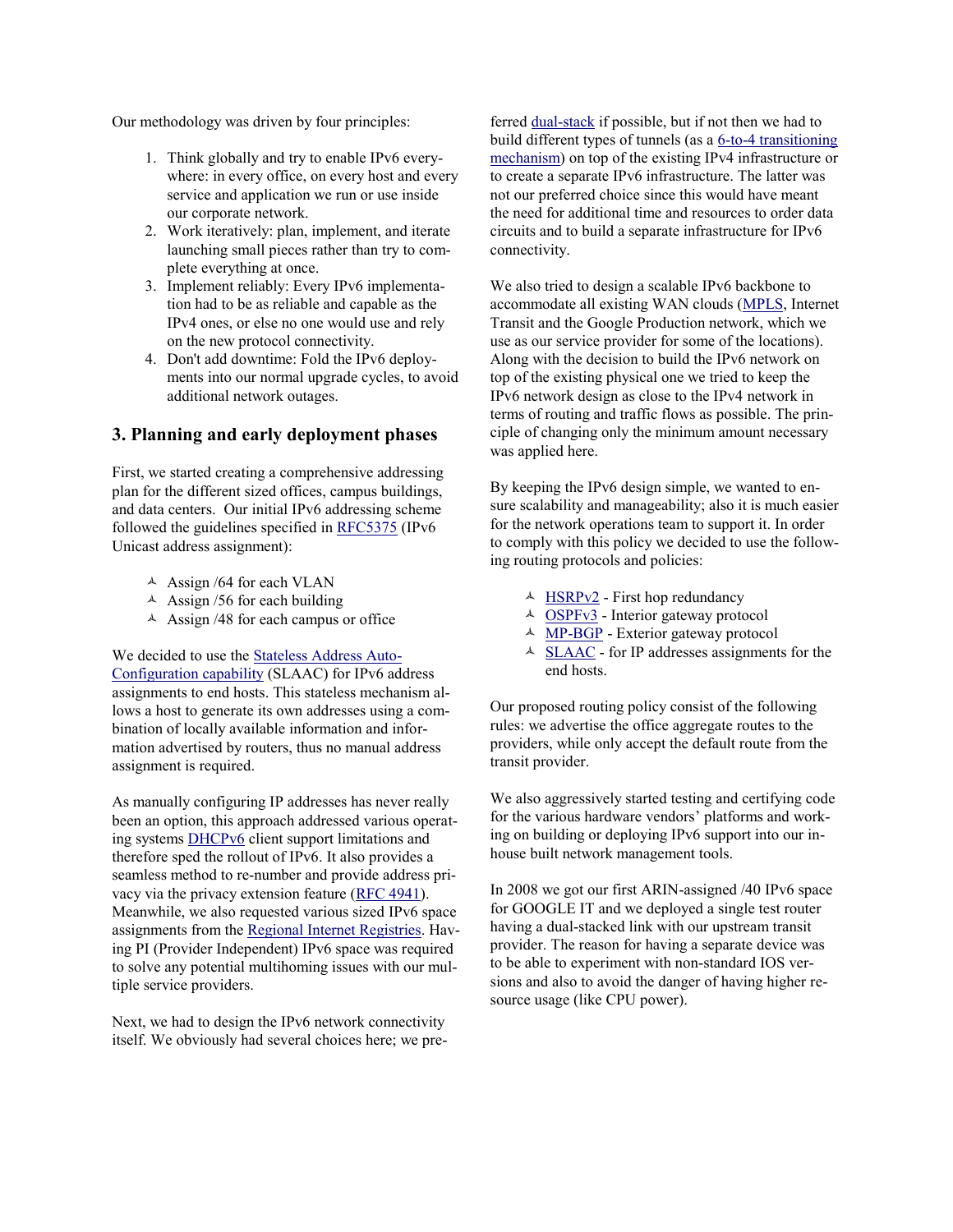Our methodology was driven by four principles:

- 1. Think globally and try to enable IPv6 everywhere: in every office, on every host and every service and application we run or use inside our corporate network.
- 2. Work iteratively: plan, implement, and iterate launching small pieces rather than try to complete everything at once.
- 3. Implement reliably: Every IPv6 implementation had to be as reliable and capable as the IPv4 ones, or else no one would use and rely on the new protocol connectivity.
- 4. Don't add downtime: Fold the IPv6 deployments into our normal upgrade cycles, to avoid additional network outages.

## **3. Planning and early deployment phases**

First, we started creating a comprehensive addressing plan for the different sized offices, campus buildings, and data centers. Our initial IPv6 addressing scheme followed the guidelines specified in [RFC5375](http://tools.ietf.org/html/rfc5375) (IPv6 Unicast address assignment):

- $\triangle$  Assign /64 for each VLAN
- $\triangle$  Assign /56 for each building
- $\triangle$  Assign /48 for each campus or office

We decided to use the [Stateless Address Auto-](http://tools.ietf.org/html/rfc4862)[Configuration capability](http://tools.ietf.org/html/rfc4862) (SLAAC) for IPv6 address assignments to end hosts. This stateless mechanism allows a host to generate its own addresses using a combination of locally available information and information advertised by routers, thus no manual address assignment is required.

As manually configuring IP addresses has never really been an option, this approach addressed various operating system[s DHCPv6](http://www.ietf.org/rfc/rfc3315.txt) client support limitations and therefore sped the rollout of IPv6. It also provides a seamless method to re-number and provide address privacy via the privacy extension feature [\(RFC 4941\)](http://tools.ietf.org/html/rfc4941). Meanwhile, we also requested various sized IPv6 space assignments from the [Regional Internet Registries.](https://www.arin.net/knowledge/rirs.html) Having PI (Provider Independent) IPv6 space was required to solve any potential multihoming issues with our multiple service providers.

Next, we had to design the IPv6 network connectivity itself. We obviously had several choices here; we preferred [dual-stack](http://en.wikipedia.org/wiki/IPv6#Dual_IP_stack_implementation) if possible, but if not then we had to build different types of tunnels (as a [6-to-4 transitioning](http://en.wikipedia.org/wiki/IPv6#Tunneling)  [mechanism\)](http://en.wikipedia.org/wiki/IPv6#Tunneling) on top of the existing IPv4 infrastructure or to create a separate IPv6 infrastructure. The latter was not our preferred choice since this would have meant the need for additional time and resources to order data circuits and to build a separate infrastructure for IPv6 connectivity.

We also tried to design a scalable IPv6 backbone to accommodate all existing WAN clouds [\(MPLS,](http://datatracker.ietf.org/wg/mpls/) Internet Transit and the Google Production network, which we use as our service provider for some of the locations). Along with the decision to build the IPv6 network on top of the existing physical one we tried to keep the IPv6 network design as close to the IPv4 network in terms of routing and traffic flows as possible. The principle of changing only the minimum amount necessary was applied here.

By keeping the IPv6 design simple, we wanted to ensure scalability and manageability; also it is much easier for the network operations team to support it. In order to comply with this policy we decided to use the following routing protocols and policies:

- $\triangle$  [HSRPv2](http://tools.ietf.org/html/rfc2281) First hop redundancy
- $\triangle$  [OSPFv3](http://tools.ietf.org/html/rfc5340) Interior gateway protocol
- <sup> $\triangle$ </sup> [MP-BGP](http://www.ietf.org/rfc/rfc2858.txt) Exterior gateway protocol
- $\triangle$  [SLAAC](http://tools.ietf.org/html/rfc4862) for IP addresses assignments for the end hosts.

Our proposed routing policy consist of the following rules: we advertise the office aggregate routes to the providers, while only accept the default route from the transit provider.

We also aggressively started testing and certifying code for the various hardware vendors' platforms and working on building or deploying IPv6 support into our inhouse built network management tools.

In 2008 we got our first ARIN-assigned /40 IPv6 space for GOOGLE IT and we deployed a single test router having a dual-stacked link with our upstream transit provider. The reason for having a separate device was to be able to experiment with non-standard IOS versions and also to avoid the danger of having higher resource usage (like CPU power).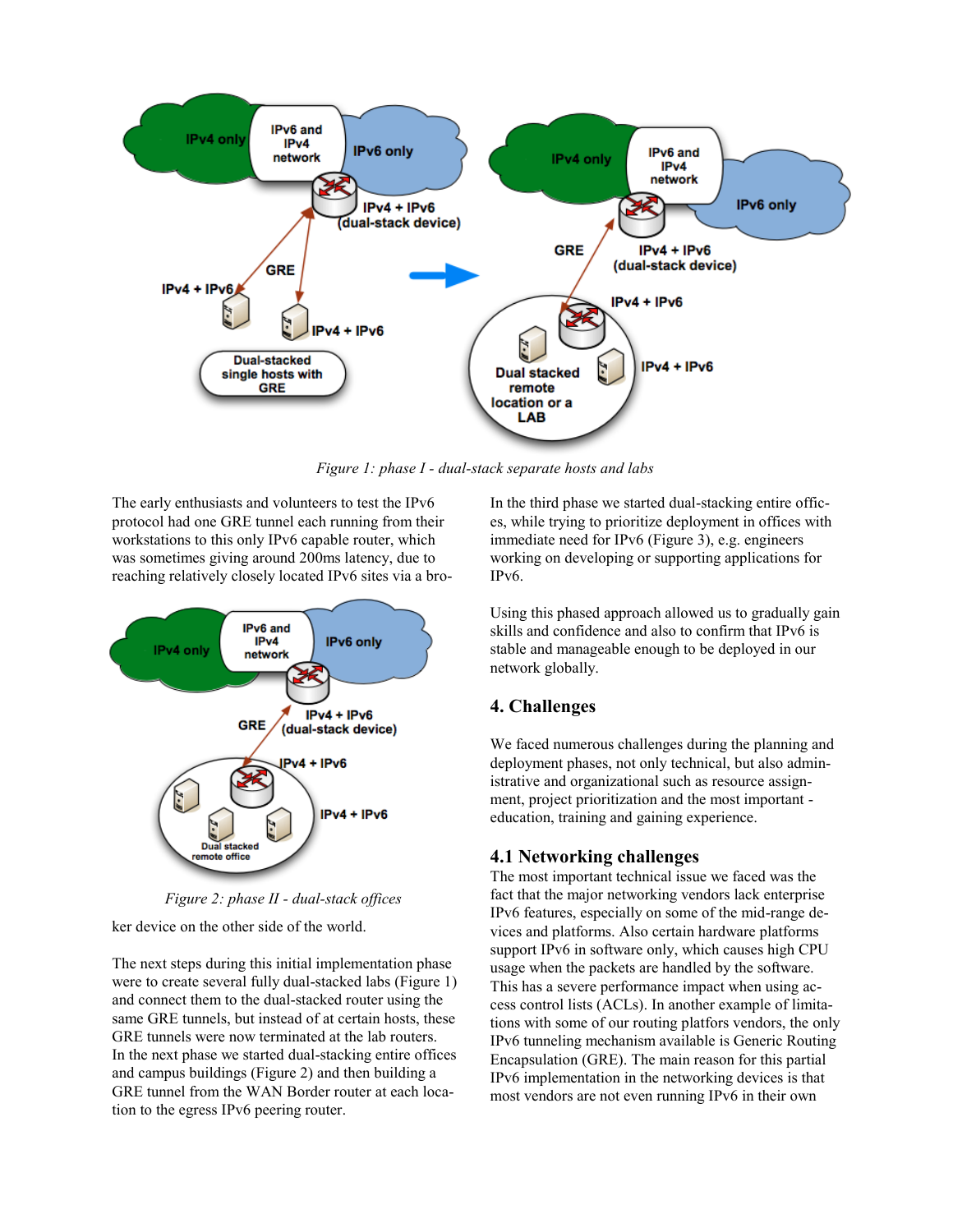

*Figure 1: phase I - dual-stack separate hosts and labs*

The early enthusiasts and volunteers to test the IPv6 protocol had one GRE tunnel each running from their workstations to this only IPv6 capable router, which was sometimes giving around 200ms latency, due to reaching relatively closely located IPv6 sites via a bro-



*Figure 2: phase II - dual-stack offices*

ker device on the other side of the world.

The next steps during this initial implementation phase were to create several fully dual-stacked labs (Figure 1) and connect them to the dual-stacked router using the same GRE tunnels, but instead of at certain hosts, these GRE tunnels were now terminated at the lab routers. In the next phase we started dual-stacking entire offices and campus buildings (Figure 2) and then building a GRE tunnel from the WAN Border router at each location to the egress IPv6 peering router.

In the third phase we started dual-stacking entire offices, while trying to prioritize deployment in offices with immediate need for IPv6 (Figure 3), e.g. engineers working on developing or supporting applications for IPv6.

Using this phased approach allowed us to gradually gain skills and confidence and also to confirm that IPv6 is stable and manageable enough to be deployed in our network globally.

# **4. Challenges**

We faced numerous challenges during the planning and deployment phases, not only technical, but also administrative and organizational such as resource assignment, project prioritization and the most important education, training and gaining experience.

# **4.1 Networking challenges**

The most important technical issue we faced was the fact that the major networking vendors lack enterprise IPv6 features, especially on some of the mid-range devices and platforms. Also certain hardware platforms support IPv6 in software only, which causes high CPU usage when the packets are handled by the software. This has a severe performance impact when using access control lists (ACLs). In another example of limitations with some of our routing platfors vendors, the only IPv6 tunneling mechanism available is Generic Routing Encapsulation (GRE). The main reason for this partial IPv6 implementation in the networking devices is that most vendors are not even running IPv6 in their own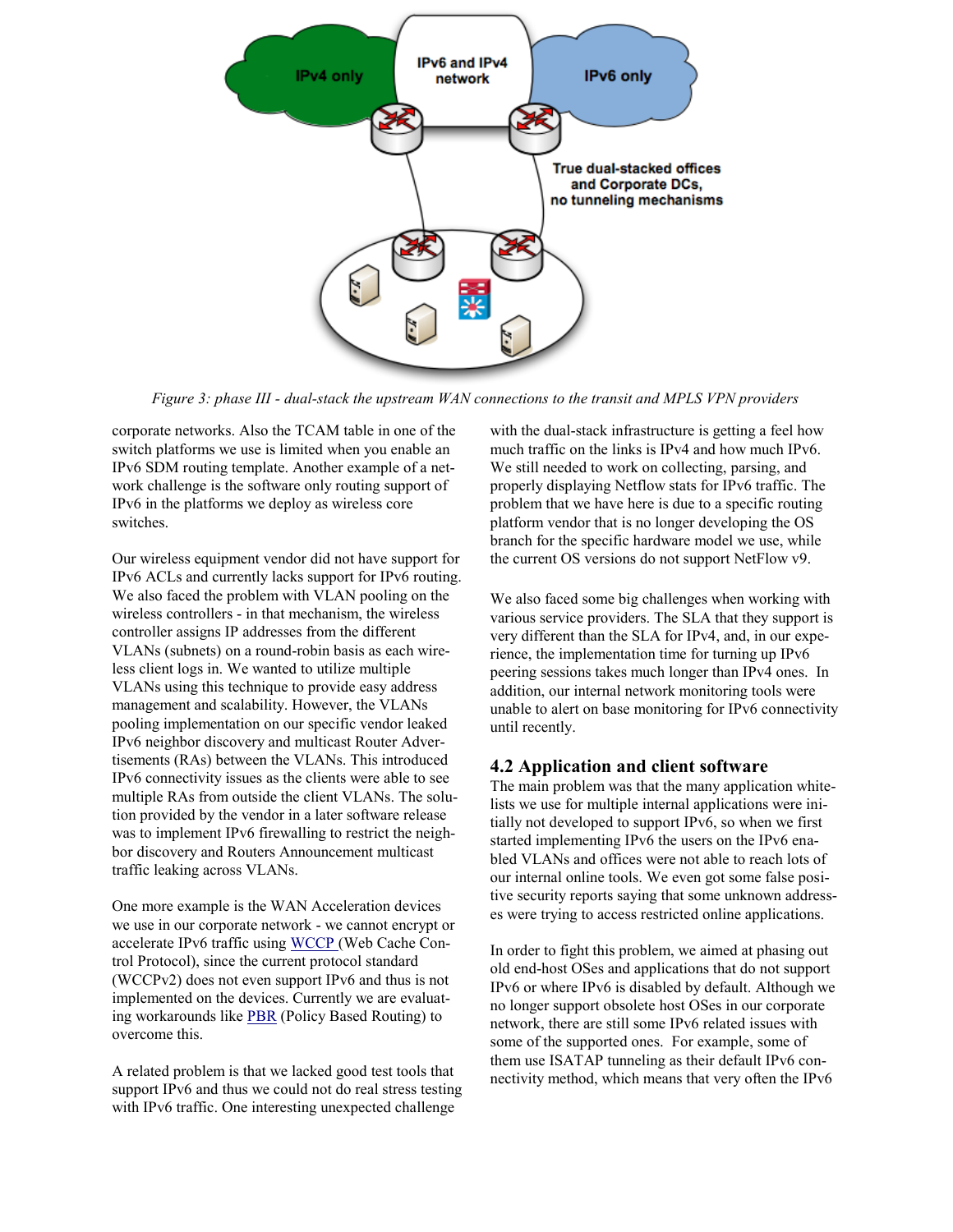

*Figure 3: phase III - dual-stack the upstream WAN connections to the transit and MPLS VPN providers*

corporate networks. Also the TCAM table in one of the switch platforms we use is limited when you enable an IPv6 SDM routing template. Another example of a network challenge is the software only routing support of IPv6 in the platforms we deploy as wireless core switches.

Our wireless equipment vendor did not have support for IPv6 ACLs and currently lacks support for IPv6 routing. We also faced the problem with VLAN pooling on the wireless controllers - in that mechanism, the wireless controller assigns IP addresses from the different VLANs (subnets) on a round-robin basis as each wireless client logs in. We wanted to utilize multiple VLANs using this technique to provide easy address management and scalability. However, the VLANs pooling implementation on our specific vendor leaked IPv6 neighbor discovery and multicast Router Advertisements (RAs) between the VLANs. This introduced IPv6 connectivity issues as the clients were able to see multiple RAs from outside the client VLANs. The solution provided by the vendor in a later software release was to implement IPv6 firewalling to restrict the neighbor discovery and Routers Announcement multicast traffic leaking across VLANs.

One more example is the WAN Acceleration devices we use in our corporate network - we cannot encrypt or accelerate IPv6 traffic usin[g WCCP \(](http://www.ietf.org/rfc/rfc3040.txt)Web Cache Control Protocol), since the current protocol standard (WCCPv2) does not even support IPv6 and thus is not implemented on the devices. Currently we are evaluating workarounds like [PBR](http://tools.ietf.org/html/rfc1104) (Policy Based Routing) to overcome this.

A related problem is that we lacked good test tools that support IPv6 and thus we could not do real stress testing with IPv6 traffic. One interesting unexpected challenge

with the dual-stack infrastructure is getting a feel how much traffic on the links is IPv4 and how much IPv6. We still needed to work on collecting, parsing, and properly displaying Netflow stats for IPv6 traffic. The problem that we have here is due to a specific routing platform vendor that is no longer developing the OS branch for the specific hardware model we use, while the current OS versions do not support NetFlow v9.

We also faced some big challenges when working with various service providers. The SLA that they support is very different than the SLA for IPv4, and, in our experience, the implementation time for turning up IPv6 peering sessions takes much longer than IPv4 ones. In addition, our internal network monitoring tools were unable to alert on base monitoring for IPv6 connectivity until recently.

### **4.2 Application and client software**

The main problem was that the many application whitelists we use for multiple internal applications were initially not developed to support IPv6, so when we first started implementing IPv6 the users on the IPv6 enabled VLANs and offices were not able to reach lots of our internal online tools. We even got some false positive security reports saying that some unknown addresses were trying to access restricted online applications.

In order to fight this problem, we aimed at phasing out old end-host OSes and applications that do not support IPv6 or where IPv6 is disabled by default. Although we no longer support obsolete host OSes in our corporate network, there are still some IPv6 related issues with some of the supported ones. For example, some of them use ISATAP tunneling as their default IPv6 connectivity method, which means that very often the IPv6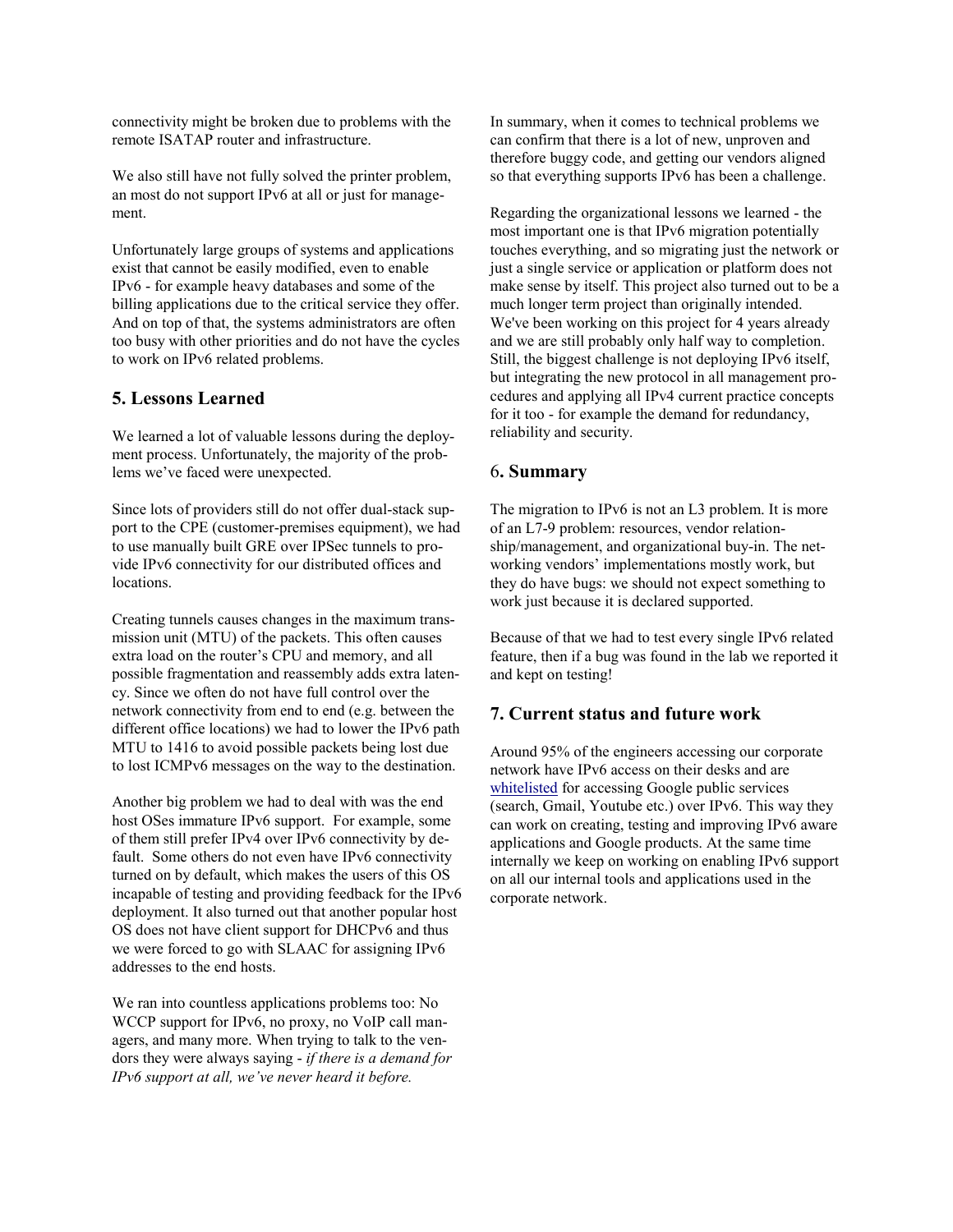connectivity might be broken due to problems with the remote ISATAP router and infrastructure.

We also still have not fully solved the printer problem, an most do not support IPv6 at all or just for management.

Unfortunately large groups of systems and applications exist that cannot be easily modified, even to enable IPv6 - for example heavy databases and some of the billing applications due to the critical service they offer. And on top of that, the systems administrators are often too busy with other priorities and do not have the cycles to work on IPv6 related problems.

# **5. Lessons Learned**

We learned a lot of valuable lessons during the deployment process. Unfortunately, the majority of the problems we've faced were unexpected.

Since lots of providers still do not offer dual-stack support to the CPE (customer-premises equipment), we had to use manually built GRE over IPSec tunnels to provide IPv6 connectivity for our distributed offices and locations.

Creating tunnels causes changes in the maximum transmission unit (MTU) of the packets. This often causes extra load on the router's CPU and memory, and all possible fragmentation and reassembly adds extra latency. Since we often do not have full control over the network connectivity from end to end (e.g. between the different office locations) we had to lower the IPv6 path MTU to 1416 to avoid possible packets being lost due to lost ICMPv6 messages on the way to the destination.

Another big problem we had to deal with was the end host OSes immature IPv6 support. For example, some of them still prefer IPv4 over IPv6 connectivity by default. Some others do not even have IPv6 connectivity turned on by default, which makes the users of this OS incapable of testing and providing feedback for the IPv6 deployment. It also turned out that another popular host OS does not have client support for DHCPv6 and thus we were forced to go with SLAAC for assigning IPv6 addresses to the end hosts.

We ran into countless applications problems too: No WCCP support for IPv6, no proxy, no VoIP call managers, and many more. When trying to talk to the vendors they were always saying - *if there is a demand for IPv6 support at all, we've never heard it before.*

In summary, when it comes to technical problems we can confirm that there is a lot of new, unproven and therefore buggy code, and getting our vendors aligned so that everything supports IPv6 has been a challenge.

Regarding the organizational lessons we learned - the most important one is that IPv6 migration potentially touches everything, and so migrating just the network or just a single service or application or platform does not make sense by itself. This project also turned out to be a much longer term project than originally intended. We've been working on this project for 4 years already and we are still probably only half way to completion. Still, the biggest challenge is not deploying IPv6 itself, but integrating the new protocol in all management procedures and applying all IPv4 current practice concepts for it too - for example the demand for redundancy, reliability and security.

# 6**. Summary**

The migration to IPv6 is not an L3 problem. It is more of an L7-9 problem: resources, vendor relationship/management, and organizational buy-in. The networking vendors' implementations mostly work, but they do have bugs: we should not expect something to work just because it is declared supported.

Because of that we had to test every single IPv6 related feature, then if a bug was found in the lab we reported it and kept on testing!

# **7. Current status and future work**

Around 95% of the engineers accessing our corporate network have IPv6 access on their desks and are [whitelisted](http://www.google.com/ipv6) for accessing Google public services (search, Gmail, Youtube etc.) over IPv6. This way they can work on creating, testing and improving IPv6 aware applications and Google products. At the same time internally we keep on working on enabling IPv6 support on all our internal tools and applications used in the corporate network.